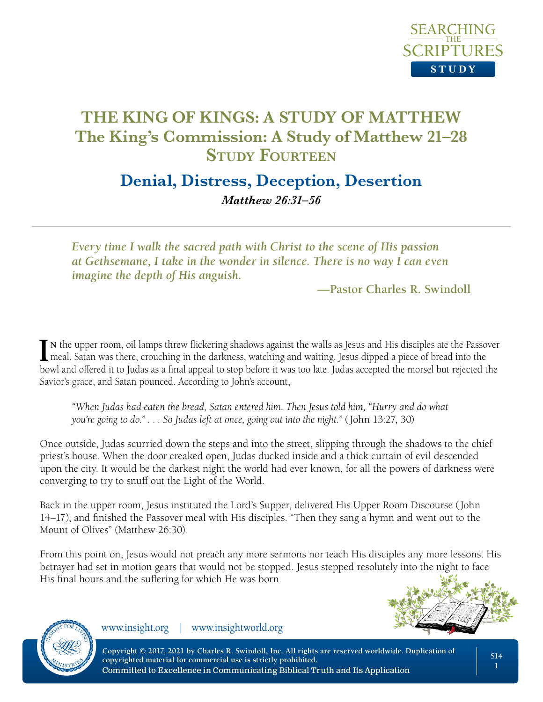

# **Denial, Distress, Deception, Desertion** *Matthew 26:31–56*

*Every time I walk the sacred path with Christ to the scene of His passion at Gethsemane, I take in the wonder in silence. There is no way I can even imagine the depth of His anguish.*

**—Pastor Charles R. Swindoll**

IN the upper room, oil lamps threw flickering shadows against the walls as Jesus and His disciples ate the Passo<br>meal. Satan was there, crouching in the darkness, watching and waiting. Jesus dipped a piece of bread into th n the upper room, oil lamps threw flickering shadows against the walls as Jesus and His disciples ate the Passover bowl and offered it to Judas as a final appeal to stop before it was too late. Judas accepted the morsel but rejected the Savior's grace, and Satan pounced. According to John's account,

*"When Judas had eaten the bread, Satan entered him. Then Jesus told him, "Hurry and do what you're going to do." . . . So Judas left at once, going out into the night."* (John 13:27, 30)

Once outside, Judas scurried down the steps and into the street, slipping through the shadows to the chief priest's house. When the door creaked open, Judas ducked inside and a thick curtain of evil descended upon the city. It would be the darkest night the world had ever known, for all the powers of darkness were converging to try to snuff out the Light of the World.

Back in the upper room, Jesus instituted the Lord's Supper, delivered His Upper Room Discourse (John 14–17), and finished the Passover meal with His disciples. "Then they sang a hymn and went out to the Mount of Olives" (Matthew 26:30).

From this point on, Jesus would not preach any more sermons nor teach His disciples any more lessons. His betrayer had set in motion gears that would not be stopped. Jesus stepped resolutely into the night to face His final hours and the suffering for which He was born.





www.insight.org | www.insightworld.org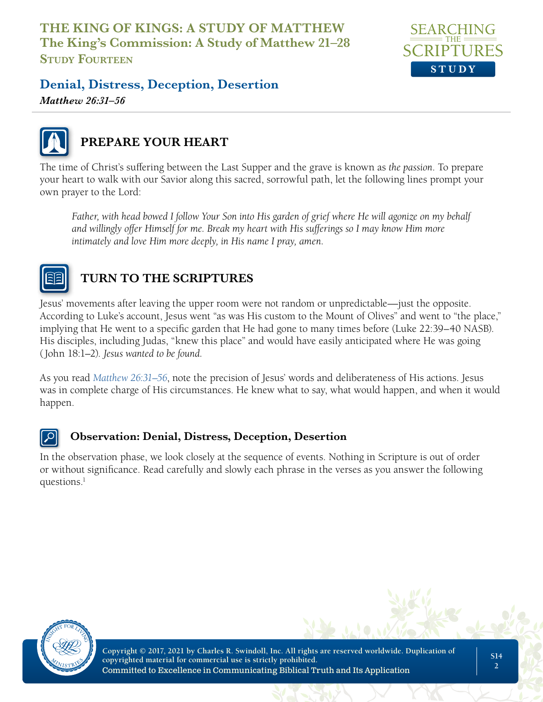

### **Denial, Distress, Deception, Desertion**

*Matthew 26:31–56*



## **PREPARE YOUR HEART**

The time of Christ's suffering between the Last Supper and the grave is known as *the passion*. To prepare your heart to walk with our Savior along this sacred, sorrowful path, let the following lines prompt your own prayer to the Lord:

*Father, with head bowed I follow Your Son into His garden of grief where He will agonize on my behalf and willingly offer Himself for me. Break my heart with His sufferings so I may know Him more intimately and love Him more deeply, in His name I pray, amen.*



# **TURN TO THE SCRIPTURES**

Jesus' movements after leaving the upper room were not random or unpredictable—just the opposite. According to Luke's account, Jesus went "as was His custom to the Mount of Olives" and went to "the place," implying that He went to a specific garden that He had gone to many times before (Luke 22:39–40 NASB). His disciples, including Judas, "knew this place" and would have easily anticipated where He was going (John 18:1–2). *Jesus wanted to be found.*

As you read *Matthew 26:31–56*, note the precision of Jesus' words and deliberateness of His actions. Jesus was in complete charge of His circumstances. He knew what to say, what would happen, and when it would happen.

#### **Observation: Denial, Distress, Deception, Desertion**

In the observation phase, we look closely at the sequence of events. Nothing in Scripture is out of order or without significance. Read carefully and slowly each phrase in the verses as you answer the following questions. $<sup>1</sup>$ </sup>

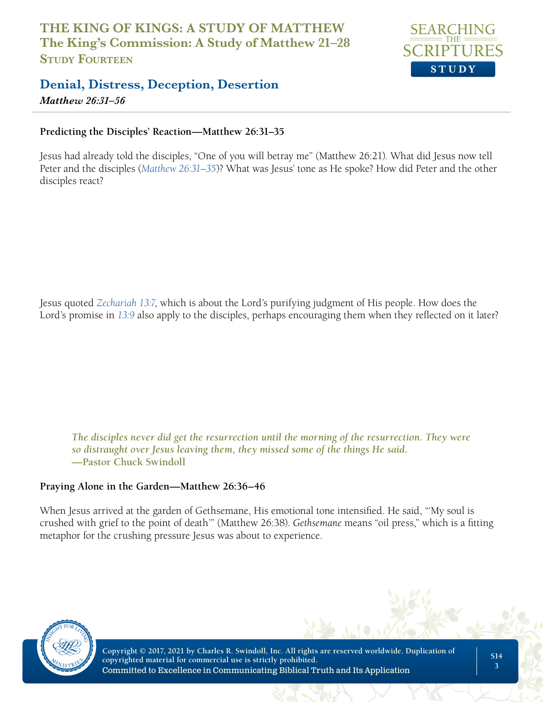

*Matthew 26:31–56*

#### **Predicting the Disciples' Reaction—Matthew 26:31–35**

Jesus had already told the disciples, "One of you will betray me" (Matthew 26:21). What did Jesus now tell Peter and the disciples (*Matthew 26:31–35*)? What was Jesus' tone as He spoke? How did Peter and the other disciples react?

Jesus quoted *Zechariah 13:7*, which is about the Lord's purifying judgment of His people. How does the Lord's promise in *13:9* also apply to the disciples, perhaps encouraging them when they reflected on it later?

*The disciples never did get the resurrection until the morning of the resurrection. They were so distraught over Jesus leaving them, they missed some of the things He said.*  **—Pastor Chuck Swindoll**

#### **Praying Alone in the Garden—Matthew 26:36–46**

When Jesus arrived at the garden of Gethsemane, His emotional tone intensified. He said, "'My soul is crushed with grief to the point of death'" (Matthew 26:38). *Gethsemane* means "oil press," which is a fitting metaphor for the crushing pressure Jesus was about to experience.

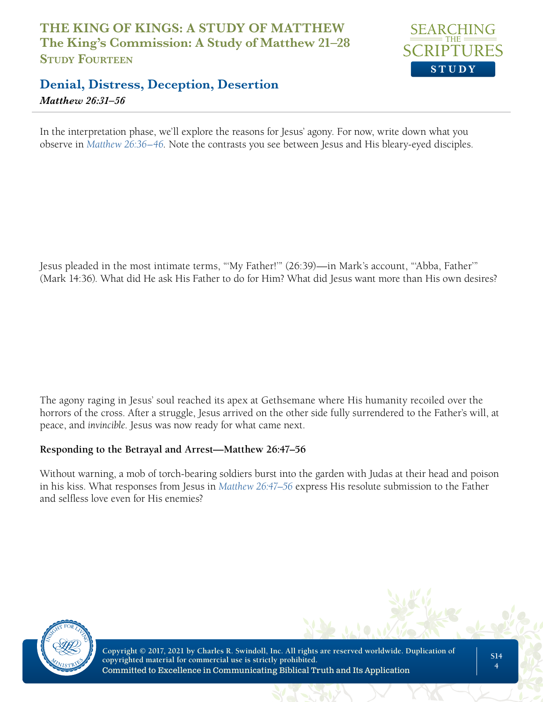

#### **Denial, Distress, Deception, Desertion** *Matthew 26:31–56*

In the interpretation phase, we'll explore the reasons for Jesus' agony. For now, write down what you observe in *Matthew 26:36–46*. Note the contrasts you see between Jesus and His bleary-eyed disciples.

Jesus pleaded in the most intimate terms, "'My Father!'" (26:39)—in Mark's account, "'Abba, Father'" (Mark 14:36). What did He ask His Father to do for Him? What did Jesus want more than His own desires?

The agony raging in Jesus' soul reached its apex at Gethsemane where His humanity recoiled over the horrors of the cross. After a struggle, Jesus arrived on the other side fully surrendered to the Father's will, at peace, and *invincible*. Jesus was now ready for what came next.

#### **Responding to the Betrayal and Arrest—Matthew 26:47–56**

Without warning, a mob of torch-bearing soldiers burst into the garden with Judas at their head and poison in his kiss. What responses from Jesus in *Matthew 26:47–56* express His resolute submission to the Father and selfless love even for His enemies?

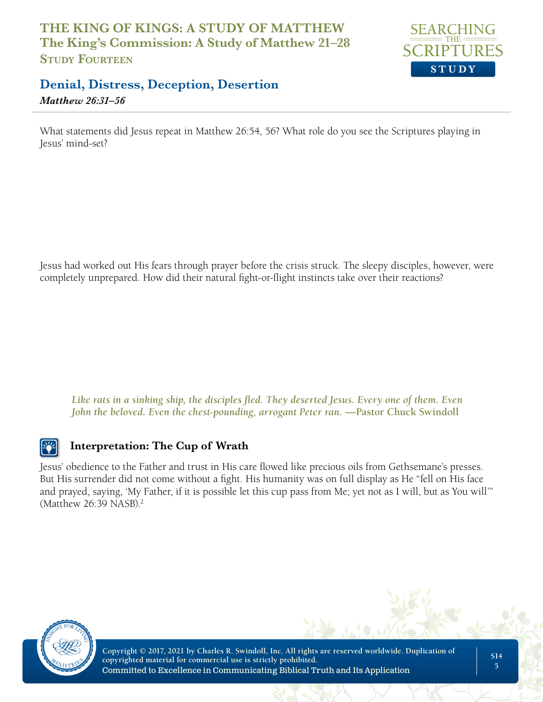

*Matthew 26:31–56*

What statements did Jesus repeat in Matthew 26:54, 56? What role do you see the Scriptures playing in Jesus' mind-set?

Jesus had worked out His fears through prayer before the crisis struck. The sleepy disciples, however, were completely unprepared. How did their natural fight-or-flight instincts take over their reactions?

*Like rats in a sinking ship, the disciples fled. They deserted Jesus. Every one of them. Even John the beloved. Even the chest-pounding, arrogant Peter ran.* —Pastor Chuck Swindoll

#### **Interpretation: The Cup of Wrath**

Jesus' obedience to the Father and trust in His care flowed like precious oils from Gethsemane's presses. But His surrender did not come without a fight. His humanity was on full display as He "fell on His face and prayed, saying, 'My Father, if it is possible let this cup pass from Me; yet not as I will, but as You will'" (Matthew 26:39 NASB).2

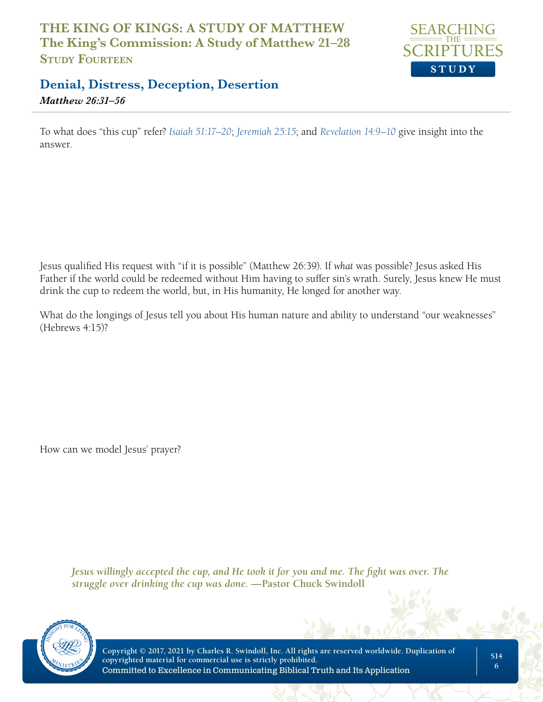

*Matthew 26:31–56*

To what does "this cup" refer? *Isaiah 51:17–20*; *Jeremiah 25:15*; and *Revelation 14:9–10* give insight into the answer.

Jesus qualified His request with "if it is possible" (Matthew 26:39). If *what* was possible? Jesus asked His Father if the world could be redeemed without Him having to suffer sin's wrath. Surely, Jesus knew He must drink the cup to redeem the world, but, in His humanity, He longed for another way.

What do the longings of Jesus tell you about His human nature and ability to understand "our weaknesses" (Hebrews 4:15)?

How can we model Jesus' prayer?

*Jesus willingly accepted the cup, and He took it for you and me. The fight was over. The struggle over drinking the cup was done.* **—Pastor Chuck Swindoll**

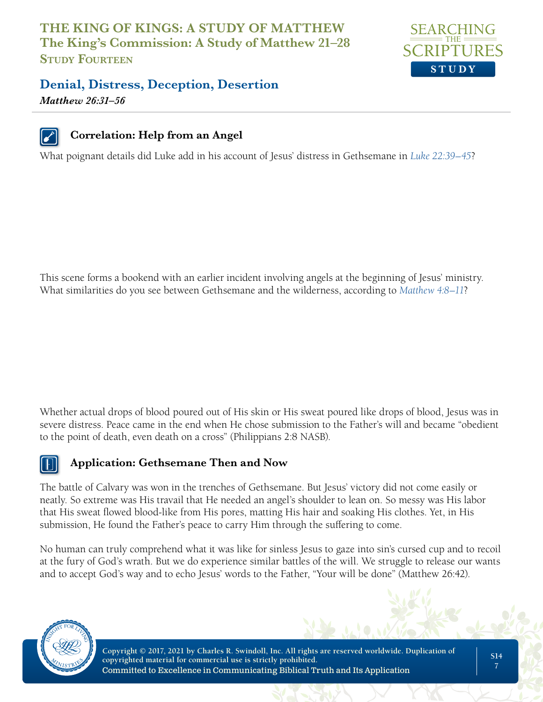

# **Denial, Distress, Deception, Desertion**

*Matthew 26:31–56*



#### **Correlation: Help from an Angel**

What poignant details did Luke add in his account of Jesus' distress in Gethsemane in *Luke 22:39–45*?

This scene forms a bookend with an earlier incident involving angels at the beginning of Jesus' ministry. What similarities do you see between Gethsemane and the wilderness, according to *Matthew 4:8–11*?

Whether actual drops of blood poured out of His skin or His sweat poured like drops of blood, Jesus was in severe distress. Peace came in the end when He chose submission to the Father's will and became "obedient to the point of death, even death on a cross" (Philippians 2:8 NASB).



#### **Application: Gethsemane Then and Now**

The battle of Calvary was won in the trenches of Gethsemane. But Jesus' victory did not come easily or neatly. So extreme was His travail that He needed an angel's shoulder to lean on. So messy was His labor that His sweat flowed blood-like from His pores, matting His hair and soaking His clothes. Yet, in His submission, He found the Father's peace to carry Him through the suffering to come.

No human can truly comprehend what it was like for sinless Jesus to gaze into sin's cursed cup and to recoil at the fury of God's wrath. But we do experience similar battles of the will. We struggle to release our wants and to accept God's way and to echo Jesus' words to the Father, "Your will be done" (Matthew 26:42).

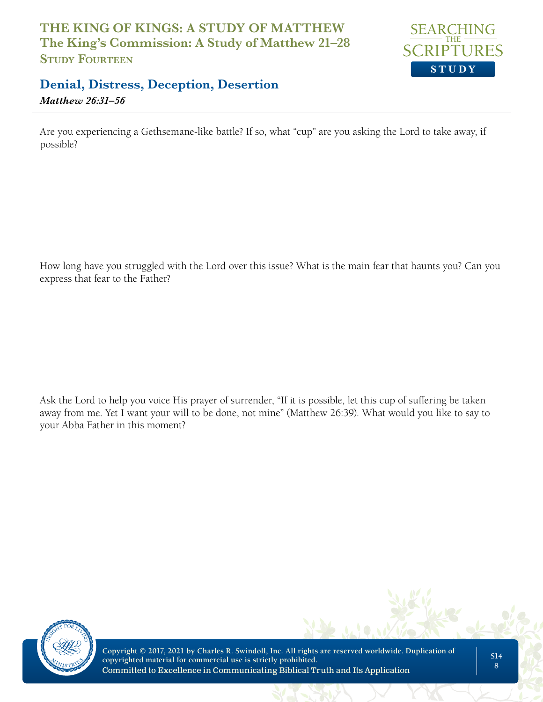

*Matthew 26:31–56*

Are you experiencing a Gethsemane-like battle? If so, what "cup" are you asking the Lord to take away, if possible?

How long have you struggled with the Lord over this issue? What is the main fear that haunts you? Can you express that fear to the Father?

Ask the Lord to help you voice His prayer of surrender, "If it is possible, let this cup of suffering be taken away from me. Yet I want your will to be done, not mine" (Matthew 26:39). What would you like to say to your Abba Father in this moment?